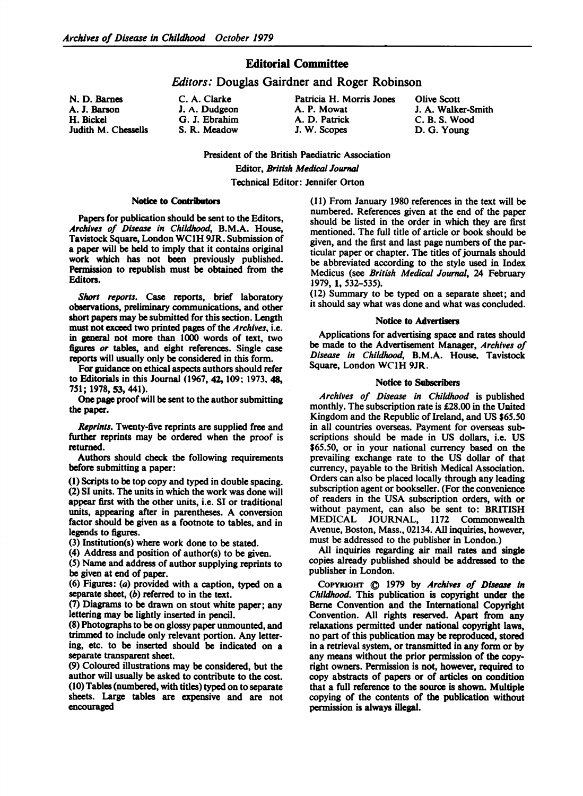## Editorial Committee

## Editors: Douglas Gairdner and Roger Robinson

G. J. Ebrahim A. D. Patrick<br>
S. R. Meadow J. W. Scopes

N. D. Barnes C. A. Clarke Patricia H. Morris Jones Olive Scott A. J. Barson J. A. Dudgeon J. A. P. Mowat J. A. Walker-Smith<br>
H. Bickel G. J. Ebrahim A. D. Patrick C. B. S. Wood Judith M. Chessells S. R. Meadow J. W. Scopes D. G. Young

President of the British Paediatric Association Editor, British Medical Journal Technical Editor: Jennifer Orton

### Notice to Contributors

Papers for publication should be sent to the Editors, Archives of Disease in Childhood, B.M.A. House, Tavistock Square, London WC1H 9JR. Submission of a paper will be held to imply that it contains original work which has not been previously published. Permission to republish must be obtained from the Editors.

Short reports. Case reports, brief laboratory observations, preliminary communications, and other short papers may be submitted for this section. Length must not exceed two printed pages of the Archives, i.e. in general not more than 1000 words of text, two figures or tables, and eight references. Single case reports will usually only be considered in this form.

For guidance on ethical aspects authors should refer to Editorials in this Journal (1967, 42, 109; 1973, 48, 751; 1978, 53, 441).

One page proof will be sent to the author submitting the paper.

Reprints. Twenty-five reprints are supplied free and further reprints may be ordered when the proof is returned.

Authors should check the following requirements before submitting a paper:

(1) Scripts to be top copy and typed in double spacing. (2) SI units. The units in which the work was done will appear first with the other units, i.e. SI or traditional units, appearing after in parentheses. A conversion factor should be given as a footnote to tables, and in legends to figures.

(3) Institution(s) where work done to be stated.

(4) Address and position of author(s) to be given.

(5) Name and address of author supplying reprints to be given at end of paper.

(6) Figures: (a) provided with a caption, typed on a separate sheet, (b) referred to in the text.

(7) Diagrams to be drawn on stout white paper; any lettering may be lightly inserted in pencil.

(8) Photographs to be on glossy paper unmounted, and trimmed to include only relevant portion. Any lettering, etc. to be inserted should be indicated on a separate transparent sheet.

(9) Coloured illustrations may be considered, but the author will usually be asked to contribute to the cost. (10) Tables (numbered, with titles) typed on to separate sheets. Large tables are expensive and are not encouraged

(11) From January 1980 references in the text will be numbered. References given at the end of the paper should be listed in the order in which they are first mentioned. The full title of article or book should be given, and the first and last page numbers of the particular paper or chapter. The titles of journals should be abbreviated according to the style used in Index Medicus (see British Medical Journal, 24 February 1979, 1, 532-535).

(12) Summary to be typed on a separate sheet; and it should say what was done and what was concluded.

#### Notice to Adverises

Applications for advertising space and rates should be made to the Advertisement Manager, Archives of Disease in Childhood, B.M.A. House. Tavistock Square, London WC1H 9JR.

#### Notice to Subscribers

Archives of Disease in Childhood is published monthly. The subscription rate is £28.00 in the United Kingdom and the Republic of Ireland, and US \$65.50 in all countries overseas. Payment for overseas subscriptions should be made in US dollars, i.e. US \$65.50, or in your national currency based on the prevailing exchange rate to the US dollar of that currency, payable to the British Medical Association. Orders can also be placed locally through any leading subscription agent or bookseller. (For the convenience of readers in the USA subscription orders, with or without payment, can also be sent to: BRITISH MEDICAL JOURNAL, <sup>1172</sup> Commonwealth Avenue, Boston, Mass., 02134. All inquiries, however, must be addressed to the publisher in London.)

All inquiries regarding air mail rates and single copies already published should be addressed to the publisher in London.

COPYRIGHT  $\bigcirc$  1979 by Archives of Disease in Childhood. This publication is copyright under the Berne Convention and the International Copyright Convention. All rights reserved. Apart from any relaxations permitted under national copyright laws, no part of this publication may be reproduced, stored in a retrieval system, or transmitted in any form or by any means without the prior permission of the copyright owners. Permission is not, however, required to copy abstracts of papers or of articles on condition that a full reference to the source is shown. Multiple copying of the contents of the publication without permission is always illegal.